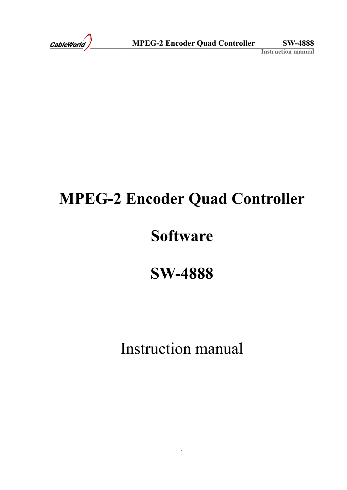# **MPEG-2 Encoder Quad Controller**

# **Software**

# **SW-4888**

Instruction manual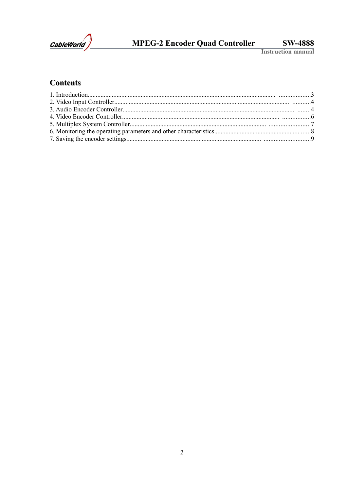

# MPEG-2 Encoder Quad Controller

**SW-4888** 

**Instruction manual** 

## **Contents**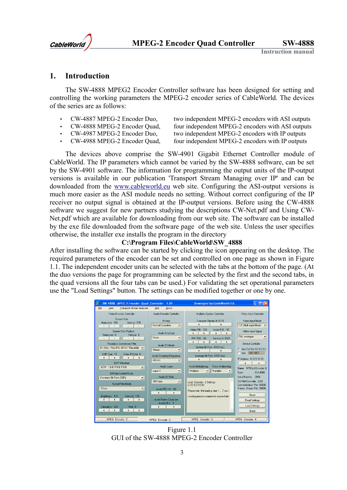

#### **1. Introduction**

The SW-4888 MPEG2 Encoder Controller software has been designed for setting and controlling the working parameters the MPEG-2 encoder series of CableWorld. The devices of the series are as follows:

- CW-4887 MPEG-2 Encoder Duo, two independent MPEG-2 encoders with ASI outputs
- CW-4888 MPEG-2 Encoder Quad, four independent MPEG-2 encoders with ASI outputs
- 
- 
- 

• CW-4987 MPEG-2 Encoder Duo, two independent MPEG-2 encoders with IP outputs • CW-4988 MPEG-2 Encoder Quad, four independent MPEG-2 encoders with IP outputs

The devices above comprise the SW-4901 Gigabit Ethernet Controller module of CableWorld. The IP parameters which cannot be varied by the SW-4888 software, can be set by the SW-4901 software. The information for programming the output units of the IP-output versions is available in our publication 'Transport Stream Managing over IP' and can be downloaded from the [www.cableworld.eu](http://www.cableworld.eu/) web site. Configuring the ASI-output versions is much more easier as the ASI module needs no setting. Without correct configuring of the IP receiver no output signal is obtained at the IP-output versions. Before using the CW-4888 software we suggest for new partners studying the descriptions CW-Net.pdf and Using CW-Net.pdf which are available for downloading from our web site. The software can be installed by the exe file downloaded from the software page of the web site. Unless the user specifies otherwise, the installer exe installs the program in the directory

#### **[C:\Program Fi](file:///C:/Encoder/Frogram)les\CableWorld\SW\_4888**

After installing the software can be started by clicking the icon appearing on the desktop. The required parameters of the encoder can be set and controlled on one page as shown in Figure 1.1. The independent encoder units can be selected with the tabs at the bottom of the page. (At the duo versions the page for programming can be selected by the first and the second tabs, in the quad versions all the four tabs can be used.) For validating the set operational parameters use the "Load Settings" button. The settings can be modified together or one by one.



Figure 1.1 GUI of the SW-4888 MPEG-2 Encoder Controller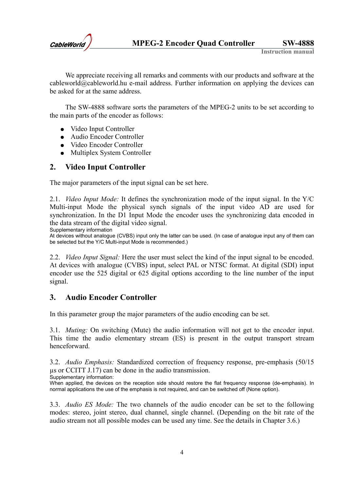

We appreciate receiving all remarks and comments with our products and software at the cableworld@cableworld.hu e-mail address. Further information on applying the devices can be asked for at the same address.

The SW-4888 software sorts the parameters of the MPEG-2 units to be set according to the main parts of the encoder as follows:

- Video Input Controller
- Audio Encoder Controller
- Video Encoder Controller
- Multiplex System Controller

### **2. Video Input Controller**

The major parameters of the input signal can be set here.

2.1. *Video Input Mode:* It defines the synchronization mode of the input signal. In the Y/C Multi-input Mode the physical synch signals of the input video AD are used for synchronization. In the D1 Input Mode the encoder uses the synchronizing data encoded in the data stream of the digital video signal.

Supplementary information

At devices without analogue (CVBS) input only the latter can be used. (In case of analogue input any of them can be selected but the Y/C Multi-input Mode is recommended.)

2.2. *Video Input Signal:* Here the user must select the kind of the input signal to be encoded. At devices with analogue (CVBS) input, select PAL or NTSC format. At digital (SDI) input encoder use the 525 digital or 625 digital options according to the line number of the input signal.

### **3. Audio Encoder Controller**

In this parameter group the major parameters of the audio encoding can be set.

3.1. *Muting:* On switching (Mute) the audio information will not get to the encoder input. This time the audio elementary stream (ES) is present in the output transport stream henceforward.

3.2. *Audio Emphasis:* Standardized correction of frequency response, pre-emphasis (50/15 µs or CCITT J.17) can be done in the audio transmission.

Supplementary information:

When applied, the devices on the reception side should restore the flat frequency response (de-emphasis). In normal applications the use of the emphasis is not required, and can be switched off (None option).

3.3. *Audio ES Mode:* The two channels of the audio encoder can be set to the following modes: stereo, joint stereo, dual channel, single channel. (Depending on the bit rate of the audio stream not all possible modes can be used any time. See the details in Chapter 3.6.)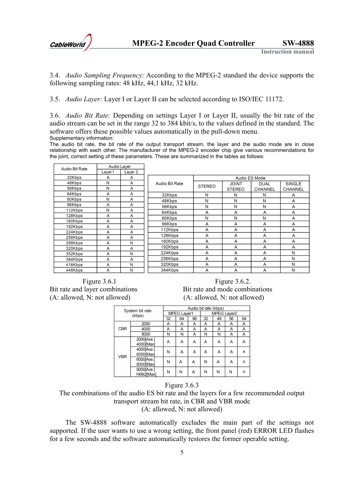

3.4. *Audio Sampling Frequency:* According to the MPEG-2 standard the device supports the following sampling rates: 48 kHz, 44,1 kHz, 32 kHz.

3.5. *Audio Layer:* Layer I or Layer II can be selected according to ISO/IEC 11172.

3.6. *Audio Bit Rate:* Depending on settings Layer I or Layer II, usually the bit rate of the audio stream can be set in the range 32 to 384 kbit/s, to the values defined in the standard. The software offers these possible values automatically in the pull-down menu. Supplementary information:

The audio bit rate, the bit rate of the output transport stream, the layer and the audio mode are in close relationship with each other. The manufacturer of the MPEG-2 encoder chip give various recommendations for the joint, correct setting of these parameters. These are summarized in the tables as follows:

| Audio Bit Rate | Audio Layer |         |                |               |               |                |                |
|----------------|-------------|---------|----------------|---------------|---------------|----------------|----------------|
|                | Layer1      | Layer 2 |                |               |               |                |                |
| 32Kbps         | A           | A       | Audio ES Mode  |               |               |                |                |
| 48Kbps         | N           | A       | Audio Bit Rate |               | <b>JOINT</b>  | <b>DUAL</b>    | <b>SINGLE</b>  |
| 56Kbps         | N           | A       |                | <b>STEREO</b> | <b>STEREO</b> | <b>CHANNEL</b> | <b>CHANNEL</b> |
| 64Kbps         | A           | A       | 32Kbps         | N             | N             | N              | A              |
| 80Kbps         | N           | A       | 48Kbps         | N             | N             | N              | A              |
| 96Kbps         | A           | A       | 56Kbps         | N             | N             | N              | A              |
| 112Kbps        | N           | A       | 64Kbps         | A             | A             | A              | A              |
| 128Kbps        | A           | A       | 80Kbps         | N             | N             | N              | A              |
| 160Kbps        | A           | A       | 96Kbps         | A             | A             | A              | A              |
| 192Kbps        | A           | A       | 112Kbps        | Α             | A             | A              | A              |
| 224Kbps        | A           | A       | 128Kbps        | A             | A             | A              | A              |
| 256Kbps        | A           | A       |                |               |               |                |                |
| 288Kbps        | A           | N       | 160Kbps        | Α             | A             | A              | A              |
| 320Kbps        | A           | A       | 192Kbps        | A             | A             | A              | A              |
| 352Kbps        | A           | N       | 224Kbps        | A             | A             | A              | N              |
| 384Kbps        | A           | A       | 256Kbps        | A             | A             | A              | N              |
| 416Kbps        | A           | N       | 320Kbps        | A             | A             | A              | N              |
| 448Kbps        | A           | N       | 384Kbps        | A             | A             | A              | N              |

(A: allowed, N: not allowed) (A: allowed, N: not allowed)

Figure 3.6.1 **Figure 3.6.2.** Bit rate and layer combinations Bit rate and mode combinations

|            | System bit rate          | Audio bit rate (kbps) |    |    |             |    |    |    |
|------------|--------------------------|-----------------------|----|----|-------------|----|----|----|
|            | (kbps)                   | <b>MPEG Layer1</b>    |    |    | MPEG Layer2 |    |    |    |
|            |                          | 32                    | 64 | 96 | 32          | 48 | 56 | 64 |
|            | 2000                     | Α                     | A  | A  | A           | Α  | A  | A  |
| <b>CBR</b> | 4000                     | Α                     | A  | Α  | Α           | Α  | Α  | A  |
|            | 8000                     | N                     | N  | Α  | N           | Ν  | Α  | Α  |
|            | 2000[Ave.]<br>4000[Max]  | Α                     | Α  | Α  | А           | Α  | Α  | Α  |
| <b>VBR</b> | 4000[Ave.]<br>6000[Max]  | N                     | A  | Α  | Α           | Α  | Α  | A  |
|            | 6000[Ave.]<br>8000[Max]  | N                     | Α  | Α  | N           | Α  | Α  | A  |
|            | 9000[Ave.]<br>14992[Max] | N                     | Ν  | Α  | N           | N  | N  | A  |

#### Figure 3.6.3

The combinations of the audio ES bit rate and the layers for a few recommended output transport stream bit rate, in CBR and VBR mode (A: allowed, N: not allowed)

The SW-4888 software automatically excludes the main part of the settings not supported. If the user wants to use a wrong setting, the front panel (red) ERROR LED flashes for a few seconds and the software automatically restores the former operable setting.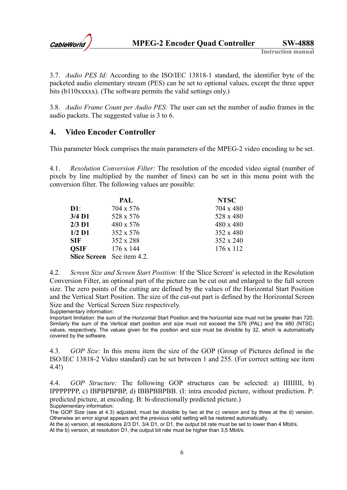

3.7. *Audio PES Id:* According to the ISO/IEC 13818-1 standard, the identifier byte of the packeted audio elementary stream (PES) can be set to optional values, except the three upper bits (b110xxxxx). (The software permits the valid settings only.)

3.8. *Audio Frame Count per Audio PES:* The user can set the number of audio frames in the audio packets. The suggested value is 3 to 6.

### **4. Video Encoder Controller**

This parameter block comprises the main parameters of the MPEG-2 video encoding to be set.

4.1. *Resolution Conversion Filter:* The resolution of the encoded video signal (number of pixels by line multiplied by the number of lines) can be set in this menu point with the conversion filter. The following values are possible:

|             | PAL                               | <b>NTSC</b> |
|-------------|-----------------------------------|-------------|
| $D1$ :      | 704 x 576                         | 704 x 480   |
| 3/4 D1      | 528 x 576                         | 528 x 480   |
| $2/3$ D1    | 480 x 576                         | 480 x 480   |
| $1/2$ D1    | 352 x 576                         | 352 x 480   |
| <b>SIF</b>  | 352 x 288                         | 352 x 240   |
| <b>OSIF</b> | $176 \times 144$                  | 176 x 112   |
|             | <b>Slice Screen</b> See item 4.2. |             |

4.2. *Screen Size and Screen Start Position:* If the 'Slice Screen' is selected in the Resolution Conversion Filter, an optional part of the picture can be cut out and enlarged to the full screen size. The zero points of the cutting are defined by the values of the Horizontal Start Position and the Vertical Start Position. The size of the cut-out part is defined by the Horizontal Screen Size and the Vertical Screen Size respectively.

Supplementary information: Important limitation: the sum of the Horizontal Start Position and the horizontal size must not be greater than 720. Similarly the sum of the Vertical start position and size must not exceed the 576 (PAL) and the 480 (NTSC) values, respectively. The values given for the position and size must be divisible by 32, which is automatically covered by the software.

4.3. *GOP Size:* In this menu item the size of the GOP (Group of Pictures defined in the ISO/IEC 13818-2 Video standard) can be set between 1 and 255. (For correct setting see item 4.4!)

4.4. *GOP Structure:* The following GOP structures can be selected: a) IIIIIIII, b) IPPPPPPP, c) IBPBPBPBP, d) IBBPBBPBB. (I: intra encoded picture, without prediction. P: predicted picture, at encoding. B: bi-directionally predicted picture.) Supplementary information:

The GOP Size (see at 4.3) adjusted, must be divisible by two at the c) version and by three at the d) version. Otherwise an error signal appears and the previous valid setting will be restored automatically.

At the a) version, at resolutions 2/3 D1, 3/4 D1, or D1, the output bit rate must be set to lower than 4 Mbit/s.

At the b) version, at resolution D1, the output bit rate must be higher than 3,5 Mbit/s.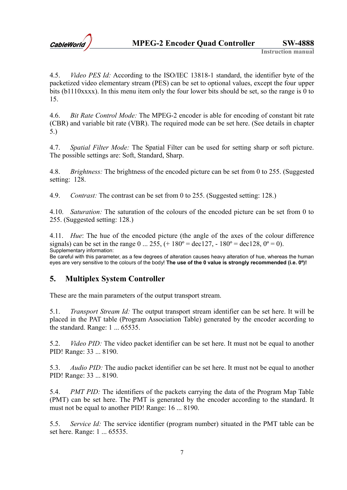

4.5. *Video PES Id:* According to the ISO/IEC 13818-1 standard, the identifier byte of the packetized video elementary stream (PES) can be set to optional values, except the four upper bits (b1110xxxx). In this menu item only the four lower bits should be set, so the range is 0 to 15.

4.6. *Bit Rate Control Mode:* The MPEG-2 encoder is able for encoding of constant bit rate (CBR) and variable bit rate (VBR). The required mode can be set here. (See details in chapter 5.)

4.7. *Spatial Filter Mode:* The Spatial Filter can be used for setting sharp or soft picture. The possible settings are: Soft, Standard, Sharp.

4.8. *Brightness:* The brightness of the encoded picture can be set from 0 to 255. (Suggested setting: 128.

4.9. *Contrast:* The contrast can be set from 0 to 255. (Suggested setting: 128.)

4.10. *Saturation:* The saturation of the colours of the encoded picture can be set from 0 to 255. (Suggested setting: 128.)

4.11. *Hue*: The hue of the encoded picture (the angle of the axes of the colour difference signals) can be set in the range  $0 ... 255$ ,  $(+ 180^{\circ} = \text{dec}127, -180^{\circ} = \text{dec}128, 0^{\circ} = 0)$ . Supplementary information:

Be careful with this parameter, as a few degrees of alteration causes heavy alteration of hue, whereas the human eyes are very sensitive to the colours of the body! **The use of the 0 value is strongly recommended (i.e. 0º)!**

## **5. Multiplex System Controller**

These are the main parameters of the output transport stream.

5.1. *Transport Stream Id:* The output transport stream identifier can be set here. It will be placed in the PAT table (Program Association Table) generated by the encoder according to the standard. Range: 1 ... 65535.

5.2. *Video PID:* The video packet identifier can be set here. It must not be equal to another PID! Range: 33 ... 8190.

5.3. *Audio PID:* The audio packet identifier can be set here. It must not be equal to another PID! Range: 33 ... 8190.

5.4. *PMT PID:* The identifiers of the packets carrying the data of the Program Map Table (PMT) can be set here. The PMT is generated by the encoder according to the standard. It must not be equal to another PID! Range: 16 ... 8190.

5.5. *Service Id:* The service identifier (program number) situated in the PMT table can be set here. Range: 1 ... 65535.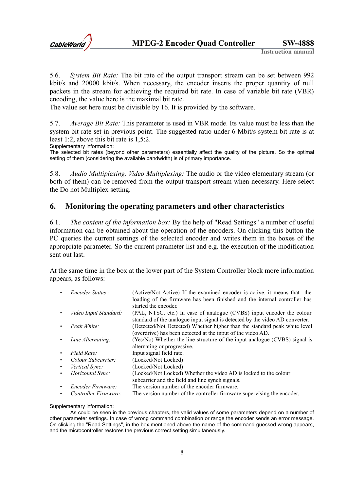

5.6. *System Bit Rate:* The bit rate of the output transport stream can be set between 992 kbit/s and 20000 kbit/s. When necessary, the encoder inserts the proper quantity of null packets in the stream for achieving the required bit rate. In case of variable bit rate (VBR) encoding, the value here is the maximal bit rate.

The value set here must be divisible by 16. It is provided by the software.

5.7. *Average Bit Rate:* This parameter is used in VBR mode. Its value must be less than the system bit rate set in previous point. The suggested ratio under 6 Mbit/s system bit rate is at least 1:2, above this bit rate is 1,5:2.

Supplementary information:

The selected bit rates (beyond other parameters) essentially affect the quality of the picture. So the optimal setting of them (considering the available bandwidth) is of primary importance.

5.8. *Audio Multiplexing, Video Multiplexing:* The audio or the video elementary stream (or both of them) can be removed from the output transport stream when necessary. Here select the Do not Multiplex setting.

#### **6. Monitoring the operating parameters and other characteristics**

6.1. *The content of the information box:* By the help of "Read Settings" a number of useful information can be obtained about the operation of the encoders. On clicking this button the PC queries the current settings of the selected encoder and writes them in the boxes of the appropriate parameter. So the current parameter list and e.g. the execution of the modification sent out last.

At the same time in the box at the lower part of the System Controller block more information appears, as follows:

- *Encoder Status :* (Active/Not Active) If the examined encoder is active, it means that the loading of the firmware has been finished and the internal controller has
- started the encoder. • *Video Input Standard:* (PAL, NTSC, etc.) In case of analogue (CVBS) input encoder the colour
- standard of the analogue input signal is detected by the video AD converter. • *Peak White:* (Detected/Not Detected) Whether higher than the standard peak white level
- (overdrive) has been detected at the input of the video AD.
	- *Line Alternating:* (Yes/No) Whether the line structure of the input analogue (CVBS) signal is alternating or progressive.
- *Field Rate:* Input signal field rate.
- *Colour Subcarrier:* (Locked/Not Locked)
- *Vertical Sync:* (Locked/Not Locked)
	- *Horizontal Sync:* (Locked/Not Locked) Whether the video AD is locked to the colour
		- subcarrier and the field and line synch signals.
- *Encoder Firmware:* The version number of the encoder firmware.
- *Controller Firmware:* The version number of the controller firmware supervising the encoder.

#### Supplementary information:

As could be seen in the previous chapters, the valid values of some parameters depend on a number of other parameter settings. In case of wrong command combination or range the encoder sends an error message. On clicking the "Read Settings", in the box mentioned above the name of the command guessed wrong appears, and the microcontroller restores the previous correct setting simultaneously.